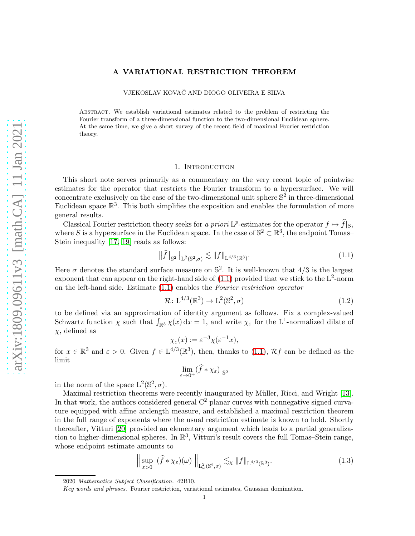## A VARIATIONAL RESTRICTION THEOREM

VJEKOSLAV KOVAČ AND DIOGO OLIVEIRA E SILVA

Abstract. We establish variational estimates related to the problem of restricting the Fourier transform of a three-dimensional function to the two-dimensional Euclidean sphere. At the same time, we give a short survey of the recent field of maximal Fourier restriction theory.

# 1. INTRODUCTION

This short note serves primarily as a commentary on the very recent topic of pointwise estimates for the operator that restricts the Fourier transform to a hypersurface. We will concentrate exclusively on the case of the two-dimensional unit sphere  $\mathbb{S}^2$  in three-dimensional Euclidean space  $\mathbb{R}^3$ . This both simplifies the exposition and enables the formulation of more general results.

Classical Fourier restriction theory seeks for a priori  $L^p$ -estimates for the operator  $f \mapsto \widehat{f}|_S$ , where S is a hypersurface in the Euclidean space. In the case of  $\mathbb{S}^2 \subset \mathbb{R}^3$ , the endpoint Tomas– Stein inequality [\[17,](#page-9-0) [19\]](#page-9-1) reads as follows:

<span id="page-0-0"></span>
$$
\|\widehat{f}\|_{\mathbb{S}^2}\|_{\mathcal{L}^2(\mathbb{S}^2,\sigma)} \lesssim \|f\|_{\mathcal{L}^{4/3}(\mathbb{R}^3)}.
$$
\n(1.1)

Here  $\sigma$  denotes the standard surface measure on  $\mathbb{S}^2$ . It is well-known that  $4/3$  is the largest exponent that can appear on the right-hand side of  $(1.1)$  provided that we stick to the L<sup>2</sup>-norm on the left-hand side. Estimate [\(1.1\)](#page-0-0) enables the Fourier restriction operator

<span id="page-0-2"></span>
$$
\mathcal{R}: L^{4/3}(\mathbb{R}^3) \to L^2(\mathbb{S}^2, \sigma) \tag{1.2}
$$

to be defined via an approximation of identity argument as follows. Fix a complex-valued Schwartz function  $\chi$  such that  $\int_{\mathbb{R}^3} \chi(x) dx = 1$ , and write  $\chi_{\varepsilon}$  for the L<sup>1</sup>-normalized dilate of  $\chi$ , defined as

$$
\chi_{\varepsilon}(x) := \varepsilon^{-3} \chi(\varepsilon^{-1} x),
$$

for  $x \in \mathbb{R}^3$  and  $\varepsilon > 0$ . Given  $f \in L^{4/3}(\mathbb{R}^3)$ , then, thanks to [\(1.1\)](#page-0-0),  $\mathcal{R}f$  can be defined as the limit

$$
\lim_{\varepsilon \to 0^+} (\widehat{f} * \chi_{\varepsilon})\big|_{\mathbb{S}^2}
$$

in the norm of the space  $L^2(\mathbb{S}^2, \sigma)$ .

Maximal restriction theorems were recently inaugurated by Müller, Ricci, and Wright [\[13\]](#page-9-2). In that work, the authors considered general  $C<sup>2</sup>$  planar curves with nonnegative signed curvature equipped with affine arclength measure, and established a maximal restriction theorem in the full range of exponents where the usual restriction estimate is known to hold. Shortly thereafter, Vitturi [\[20\]](#page-9-3) provided an elementary argument which leads to a partial generalization to higher-dimensional spheres. In  $\mathbb{R}^3$ , Vitturi's result covers the full Tomas–Stein range, whose endpoint estimate amounts to

<span id="page-0-1"></span>
$$
\left\| \sup_{\varepsilon > 0} |(\widehat{f} * \chi_{\varepsilon})(\omega)| \right\|_{\mathcal{L}^2_{\omega}(\mathbb{S}^2, \sigma)} \lesssim_{\chi} \|f\|_{\mathcal{L}^{4/3}(\mathbb{R}^3)}.
$$
 (1.3)

<sup>2020</sup> Mathematics Subject Classification. 42B10.

Key words and phrases. Fourier restriction, variational estimates, Gaussian domination.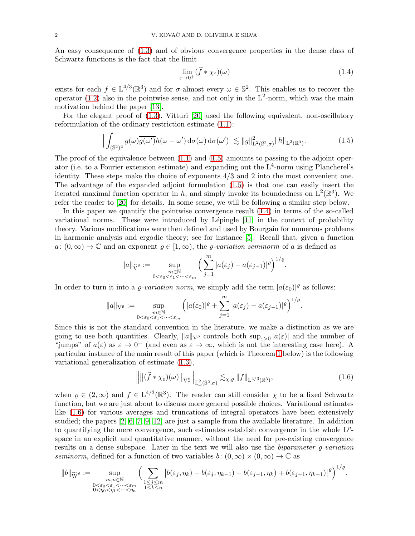An easy consequence of [\(1.3\)](#page-0-1) and of obvious convergence properties in the dense class of Schwartz functions is the fact that the limit

<span id="page-1-1"></span>
$$
\lim_{\varepsilon \to 0^+} (\widehat{f} * \chi_{\varepsilon})(\omega) \tag{1.4}
$$

exists for each  $f \in L^{4/3}(\mathbb{R}^3)$  and for  $\sigma$ -almost every  $\omega \in \mathbb{S}^2$ . This enables us to recover the operator [\(1.2\)](#page-0-2) also in the pointwise sense, and not only in the  $L^2$ -norm, which was the main motivation behind the paper [\[13\]](#page-9-2).

For the elegant proof of [\(1.3\)](#page-0-1), Vitturi [\[20\]](#page-9-3) used the following equivalent, non-oscillatory reformulation of the ordinary restriction estimate [\(1.1\)](#page-0-0):

<span id="page-1-0"></span>
$$
\Big|\int_{(\mathbb{S}^2)^2} g(\omega) \overline{g(\omega')} h(\omega - \omega') d\sigma(\omega) d\sigma(\omega')\Big| \lesssim \|g\|_{\mathcal{L}^2(\mathbb{S}^2, \sigma)}^2 \|h\|_{\mathcal{L}^2(\mathbb{R}^3)}.
$$
\n(1.5)

The proof of the equivalence between  $(1.1)$  and  $(1.5)$  amounts to passing to the adjoint operator (i.e. to a Fourier extension estimate) and expanding out the  $L^4$ -norm using Plancherel's identity. These steps make the choice of exponents 4/3 and 2 into the most convenient one. The advantage of the expanded adjoint formulation [\(1.5\)](#page-1-0) is that one can easily insert the iterated maximal function operator in h, and simply invoke its boundedness on  $L^2(\mathbb{R}^3)$ . We refer the reader to [\[20\]](#page-9-3) for details. In some sense, we will be following a similar step below.

In this paper we quantify the pointwise convergence result [\(1.4\)](#page-1-1) in terms of the so-called variational norms. These were introduced by Lépingle  $[11]$  in the context of probability theory. Various modifications were then defined and used by Bourgain for numerous problems in harmonic analysis and ergodic theory; see for instance [\[5\]](#page-9-5). Recall that, given a function  $a: (0, \infty) \to \mathbb{C}$  and an exponent  $\rho \in [1, \infty)$ , the *ρ*-variation seminorm of a is defined as

$$
||a||_{\widetilde{\mathcal{V}}^{\varrho}} := \sup_{\substack{m \in \mathbb{N} \\ 0 < \varepsilon_0 < \varepsilon_1 < \cdots < \varepsilon_m}} \Big( \sum_{j=1}^m |a(\varepsilon_j) - a(\varepsilon_{j-1})|^{\varrho} \Big)^{1/\varrho}.
$$

In order to turn it into a  $\varrho$ -variation norm, we simply add the term  $|a(\varepsilon_0)|^{\varrho}$  as follows:

$$
\|a\|_{\mathcal{V}^\varrho}:=\sup_{\substack{m\in\mathbb{N}\\0<\varepsilon_0<\varepsilon_1<\cdots<\varepsilon_m}}\Big(|a(\varepsilon_0)|^\varrho+\sum_{j=1}^m|a(\varepsilon_j)-a(\varepsilon_{j-1})|^\varrho\Big)^{1/\varrho}.
$$

Since this is not the standard convention in the literature, we make a distinction as we are going to use both quantities. Clearly,  $||a||_{V^{\varrho}}$  controls both  $\sup_{\varepsilon>0} |a(\varepsilon)|$  and the number of "jumps" of  $a(\varepsilon)$  as  $\varepsilon \to 0^+$  (and even as  $\varepsilon \to \infty$ , which is not the interesting case here). A particular instance of the main result of this paper (which is Theorem [1](#page-3-0) below) is the following variational generalization of estimate [\(1.3\)](#page-0-1),

<span id="page-1-2"></span>
$$
\left\| \left\| (\widehat{f} * \chi_{\varepsilon})(\omega) \right\|_{V_{\varepsilon}^{\varrho}} \right\|_{L_{\omega}^{2}(\mathbb{S}^{2},\sigma)} \lesssim_{\chi,\varrho} \|f\|_{L^{4/3}(\mathbb{R}^{3})},\tag{1.6}
$$

when  $\varrho \in (2,\infty)$  and  $f \in L^{4/3}(\mathbb{R}^3)$ . The reader can still consider  $\chi$  to be a fixed Schwartz function, but we are just about to discuss more general possible choices. Variational estimates like [\(1.6\)](#page-1-2) for various averages and truncations of integral operators have been extensively studied; the papers [\[2,](#page-9-6) [6,](#page-9-7) [7,](#page-9-8) [9,](#page-9-9) [12\]](#page-9-10) are just a sample from the available literature. In addition to quantifying the mere convergence, such estimates establish convergence in the whole  $L^p$ space in an explicit and quantitative manner, without the need for pre-existing convergence results on a dense subspace. Later in the text we will also use the *biparameter*  $\rho$ *-variation* seminorm, defined for a function of two variables b:  $(0, \infty) \times (0, \infty) \to \mathbb{C}$  as

$$
||b||_{\widetilde{\operatorname{W}}^{\varrho}} := \sup_{\substack{m,n \in \mathbb{N} \\ 0 < \varepsilon_0 < \varepsilon_1 < \dots < \varepsilon_m \\ 0 < \eta_0 < \eta_1 < \dots < \eta_n}} \Big( \sum_{\substack{1 \le j \le m \\ 1 \le k \le n}} \big| b(\varepsilon_j,\eta_k) - b(\varepsilon_j,\eta_{k-1}) - b(\varepsilon_{j-1},\eta_k) + b(\varepsilon_{j-1},\eta_{k-1}) \big|^{\varrho} \Big)^{1/\varrho}.
$$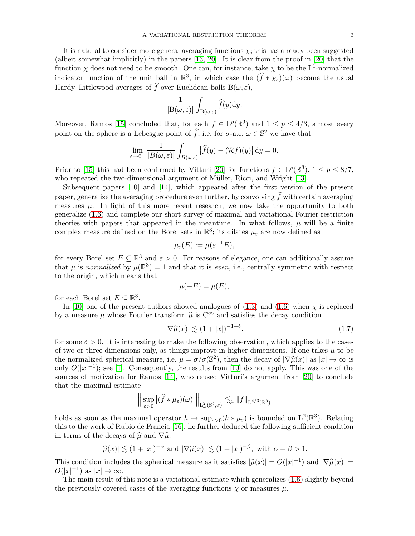It is natural to consider more general averaging functions  $\chi$ ; this has already been suggested (albeit somewhat implicitly) in the papers [\[13,](#page-9-2) [20\]](#page-9-3). It is clear from the proof in [\[20\]](#page-9-3) that the function  $\chi$  does not need to be smooth. One can, for instance, take  $\chi$  to be the L<sup>1</sup>-normalized indicator function of the unit ball in  $\mathbb{R}^3$ , in which case the  $(\widehat{f} * \chi_{\varepsilon})(\omega)$  become the usual Hardy–Littlewood averages of  $\hat{f}$  over Euclidean balls  $B(\omega, \varepsilon)$ ,

$$
\frac{1}{|{\rm B}(\omega,\varepsilon)|}\int_{{\rm B}(\omega,\varepsilon)}\widehat{f}(y)\mathrm{d}y.
$$

Moreover, Ramos [\[15\]](#page-9-11) concluded that, for each  $f \in L^p(\mathbb{R}^3)$  and  $1 \leq p \leq 4/3$ , almost every point on the sphere is a Lebesgue point of  $\widehat{f}$ , i.e. for  $\sigma$ -a.e.  $\omega \in \mathbb{S}^2$  we have that

$$
\lim_{\varepsilon \to 0^+} \frac{1}{|B(\omega, \varepsilon)|} \int_{B(\omega, \varepsilon)} |\widehat{f}(y) - (\mathcal{R}f)(y)| dy = 0.
$$

Prior to [\[15\]](#page-9-11) this had been confirmed by Vitturi [\[20\]](#page-9-3) for functions  $f \in L^p(\mathbb{R}^3)$ ,  $1 \le p \le 8/7$ , who repeated the two-dimensional argument of Müller, Ricci, and Wright [\[13\]](#page-9-2).

Subsequent papers [\[10\]](#page-9-12) and [\[14\]](#page-9-13), which appeared after the first version of the present paper, generalize the averaging procedure even further, by convolving  $\widehat{f}$  with certain averaging measures  $\mu$ . In light of this more recent research, we now take the opportunity to both generalize [\(1.6\)](#page-1-2) and complete our short survey of maximal and variational Fourier restriction theories with papers that appeared in the meantime. In what follows,  $\mu$  will be a finite complex measure defined on the Borel sets in  $\mathbb{R}^3$ ; its dilates  $\mu_{\varepsilon}$  are now defined as

$$
\mu_{\varepsilon}(E) := \mu(\varepsilon^{-1}E),
$$

for every Borel set  $E \subseteq \mathbb{R}^3$  and  $\varepsilon > 0$ . For reasons of elegance, one can additionally assume that  $\mu$  is normalized by  $\mu(\mathbb{R}^3) = 1$  and that it is even, i.e., centrally symmetric with respect to the origin, which means that

$$
\mu(-E) = \mu(E),
$$

for each Borel set  $E \subseteq \mathbb{R}^3$ .

In [\[10\]](#page-9-12) one of the present authors showed analogues of  $(1.3)$  and  $(1.6)$  when  $\chi$  is replaced by a measure  $\mu$  whose Fourier transform  $\hat{\mu}$  is  $C^{\infty}$  and satisfies the decay condition

<span id="page-2-0"></span>
$$
|\nabla \widehat{\mu}(x)| \lesssim (1+|x|)^{-1-\delta},\tag{1.7}
$$

for some  $\delta > 0$ . It is interesting to make the following observation, which applies to the cases of two or three dimensions only, as things improve in higher dimensions. If one takes  $\mu$  to be the normalized spherical measure, i.e.  $\mu = \sigma/\sigma(\mathbb{S}^2)$ , then the decay of  $|\nabla \hat{\mu}(x)|$  as  $|x| \to \infty$  is only  $O(|x|^{-1})$ ; see [\[1\]](#page-9-14). Consequently, the results from [\[10\]](#page-9-12) do not apply. This was one of the sources of motivation for Ramos [\[14\]](#page-9-13), who reused Vitturi's argument from [\[20\]](#page-9-3) to conclude that the maximal estimate

$$
\Big\|\sup_{\varepsilon>0}\big|(\widehat{f}*\mu_\varepsilon)(\omega)\big|\Big\|_{\mathrm{L}^2_\omega(\mathbb{S}^2,\sigma)}\lesssim_{\mu}\|f\|_{\mathrm{L}^{4/3}(\mathbb{R}^3)}
$$

holds as soon as the maximal operator  $h \mapsto \sup_{\varepsilon>0} (h * \mu_{\varepsilon})$  is bounded on  $L^2(\mathbb{R}^3)$ . Relating this to the work of Rubio de Francia [\[16\]](#page-9-15), he further deduced the following sufficient condition in terms of the decays of  $\hat{\mu}$  and  $\nabla \hat{\mu}$ :

$$
|\widehat{\mu}(x)| \lesssim (1+|x|)^{-\alpha} \text{ and } |\nabla \widehat{\mu}(x)| \lesssim (1+|x|)^{-\beta}, \text{ with } \alpha + \beta > 1.
$$

This condition includes the spherical measure as it satisfies  $|\hat{\mu}(x)| = O(|x|^{-1})$  and  $|\nabla \hat{\mu}(x)| = O(|x|^{-1})$  $O(|x|^{-1})$  as  $|x| \to \infty$ .

The main result of this note is a variational estimate which generalizes [\(1.6\)](#page-1-2) slightly beyond the previously covered cases of the averaging functions  $\chi$  or measures  $\mu$ .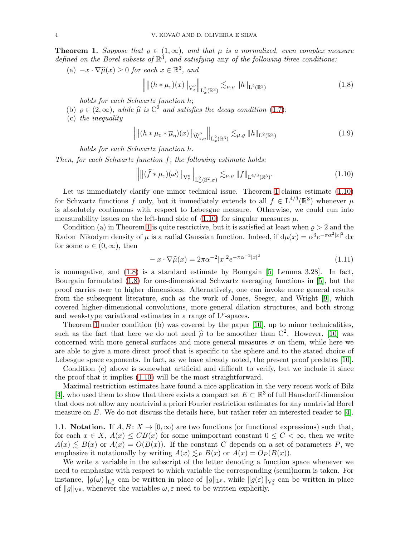<span id="page-3-0"></span>**Theorem 1.** Suppose that  $\varrho \in (1,\infty)$ , and that  $\mu$  is a normalized, even complex measure defined on the Borel subsets of  $\mathbb{R}^3$ , and satisfying any of the following three conditions:

(a)  $-x \cdot \nabla \widehat{\mu}(x) \ge 0$  for each  $x \in \mathbb{R}^3$ , and

<span id="page-3-2"></span>
$$
\left\| \left\| (h * \mu_{\varepsilon})(x) \right\|_{\widetilde{V}_{\varepsilon}} \right\|_{L_x^2(\mathbb{R}^3)} \lesssim_{\mu, \varrho} \|h\|_{L^2(\mathbb{R}^3)} \tag{1.8}
$$

holds for each Schwartz function h;

- (b)  $\rho \in (2,\infty)$ , while  $\hat{\mu}$  is  $C^2$  and satisfies the decay condition [\(1.7\)](#page-2-0);
- (c) the inequality

<span id="page-3-4"></span>
$$
\left\| \left\| (h * \mu_{\varepsilon} * \overline{\mu}_{\eta})(x) \right\|_{\widetilde{\mathcal{W}}_{\varepsilon,\eta}^{\varrho}} \right\|_{\mathcal{L}^2_{x}(\mathbb{R}^3)} \lesssim_{\mu,\varrho} \|h\|_{\mathcal{L}^2(\mathbb{R}^3)} \tag{1.9}
$$

holds for each Schwartz function h.

Then, for each Schwartz function  $f$ , the following estimate holds:

<span id="page-3-1"></span>
$$
\left\| \left\| (\widehat{f} * \mu_{\varepsilon})(\omega) \right\|_{V_{\varepsilon}^{\varrho}} \right\|_{L_{\omega}^{2}(\mathbb{S}^{2},\sigma)} \lesssim_{\mu,\varrho} \|f\|_{L^{4/3}(\mathbb{R}^{3})}. \tag{1.10}
$$

Let us immediately clarify one minor technical issue. Theorem [1](#page-3-0) claims estimate [\(1.10\)](#page-3-1) for Schwartz functions f only, but it immediately extends to all  $f \in L^{4/3}(\mathbb{R}^3)$  whenever  $\mu$ is absolutely continuous with respect to Lebesgue measure. Otherwise, we could run into measurability issues on the left-hand side of  $(1.10)$  for singular measures  $\mu$ .

Condition (a) in Theorem [1](#page-3-0) is quite restrictive, but it is satisfied at least when  $\rho > 2$  and the Radon–Nikodym density of  $\mu$  is a radial Gaussian function. Indeed, if  $d\mu(x) = \alpha^3 e^{-\pi \alpha^2 |x|^2} dx$ for some  $\alpha \in (0,\infty)$ , then

<span id="page-3-3"></span>
$$
- x \cdot \nabla \widehat{\mu}(x) = 2\pi \alpha^{-2} |x|^2 e^{-\pi \alpha^{-2} |x|^2}
$$
\n(1.11)

is nonnegative, and [\(1.8\)](#page-3-2) is a standard estimate by Bourgain [\[5,](#page-9-5) Lemma 3.28]. In fact, Bourgain formulated [\(1.8\)](#page-3-2) for one-dimensional Schwartz averaging functions in [\[5\]](#page-9-5), but the proof carries over to higher dimensions. Alternatively, one can invoke more general results from the subsequent literature, such as the work of Jones, Seeger, and Wright [\[9\]](#page-9-9), which covered higher-dimensional convolutions, more general dilation structures, and both strong and weak-type variational estimates in a range of  $L^p$ -spaces.

Theorem [1](#page-3-0) under condition (b) was covered by the paper [\[10\]](#page-9-12), up to minor technicalities, such as the fact that here we do not need  $\hat{\mu}$  to be smoother than  $C^2$ . However, [\[10\]](#page-9-12) was concerned with more general surfaces and more general measures  $\sigma$  on them, while here we are able to give a more direct proof that is specific to the sphere and to the stated choice of Lebesgue space exponents. In fact, as we have already noted, the present proof predates [\[10\]](#page-9-12).

Condition (c) above is somewhat artificial and difficult to verify, but we include it since the proof that it implies [\(1.10\)](#page-3-1) will be the most straightforward.

Maximal restriction estimates have found a nice application in the very recent work of Bilz [\[4\]](#page-9-16), who used them to show that there exists a compact set  $E \subset \mathbb{R}^3$  of full Hausdorff dimension that does not allow any nontrivial a priori Fourier restriction estimates for any nontrivial Borel measure on  $E$ . We do not discuss the details here, but rather refer an interested reader to [\[4\]](#page-9-16).

1.1. **Notation.** If  $A, B: X \to [0, \infty)$  are two functions (or functional expressions) such that, for each  $x \in X$ ,  $A(x) \leq CB(x)$  for some unimportant constant  $0 \leq C < \infty$ , then we write  $A(x) \leq B(x)$  or  $A(x) = O(B(x))$ . If the constant C depends on a set of parameters P, we emphasize it notationally by writing  $A(x) \leq_P B(x)$  or  $A(x) = O_P(B(x))$ .

We write a variable in the subscript of the letter denoting a function space whenever we need to emphasize with respect to which variable the corresponding (semi)norm is taken. For instance,  $||g(\omega)||_{L^p_\omega}$  can be written in place of  $||g||_{L^p}$ , while  $||g(\varepsilon)||_{V^{\rho}_{\varepsilon}}$  can be written in place of  $||g||_{V^{\varrho}}$ , whenever the variables  $\omega, \varepsilon$  need to be written explicitly.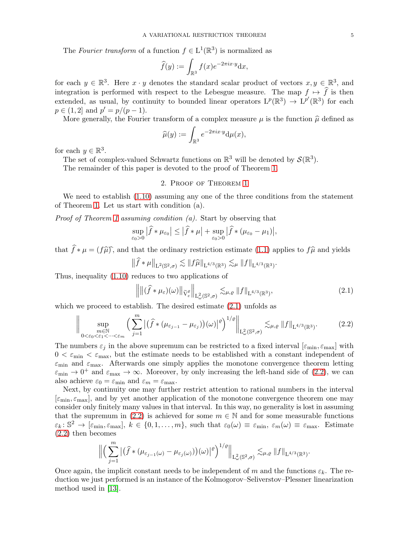$$
\widehat{f}(y) := \int_{\mathbb{R}^3} f(x) e^{-2\pi i x \cdot y} dx,
$$

for each  $y \in \mathbb{R}^3$ . Here  $x \cdot y$  denotes the standard scalar product of vectors  $x, y \in \mathbb{R}^3$ , and integration is performed with respect to the Lebesgue measure. The map  $f \mapsto \hat{f}$  is then extended, as usual, by continuity to bounded linear operators  $L^p(\mathbb{R}^3) \to L^{p'}(\mathbb{R}^3)$  for each  $p \in (1,2]$  and  $p' = p/(p-1)$ .

More generally, the Fourier transform of a complex measure  $\mu$  is the function  $\hat{\mu}$  defined as

$$
\widehat{\mu}(y) := \int_{\mathbb{R}^3} e^{-2\pi i x \cdot y} \mathrm{d}\mu(x),
$$

for each  $y \in \mathbb{R}^3$ .

The set of complex-valued Schwartz functions on  $\mathbb{R}^3$  will be denoted by  $\mathcal{S}(\mathbb{R}^3)$ .

The remainder of this paper is devoted to the proof of Theorem [1.](#page-3-0)

### 2. Proof of Theorem [1](#page-3-0)

We need to establish [\(1.10\)](#page-3-1) assuming any one of the three conditions from the statement of Theorem [1.](#page-3-0) Let us start with condition (a).

Proof of Theorem [1](#page-3-0) assuming condition (a). Start by observing that

$$
\sup_{\varepsilon_0>0} |\widehat{f} * \mu_{\varepsilon_0}| \leq |\widehat{f} * \mu| + \sup_{\varepsilon_0>0} |\widehat{f} * (\mu_{\varepsilon_0} - \mu_1)|,
$$

that  $\hat{f} * \mu = (f\hat{\mu})$ , and that the ordinary restriction estimate [\(1.1\)](#page-0-0) applies to  $f\hat{\mu}$  and yields

$$
\|\widehat{f} * \mu\|_{\mathrm{L}^2(\mathbb{S}^2,\sigma)} \lesssim \|f\widehat{\mu}\|_{\mathrm{L}^{4/3}(\mathbb{R}^3)} \lesssim_{\mu} \|f\|_{\mathrm{L}^{4/3}(\mathbb{R}^3)}.
$$

Thus, inequality [\(1.10\)](#page-3-1) reduces to two applications of

<span id="page-4-0"></span>
$$
\left\| \left\| (\widehat{f} * \mu_{\varepsilon})(\omega) \right\|_{\widetilde{V}_{\varepsilon}^{\varrho}} \right\|_{L_{\omega}^{2}(\mathbb{S}^{2},\sigma)} \lesssim_{\mu,\varrho} \|f\|_{L^{4/3}(\mathbb{R}^{3})},\tag{2.1}
$$

which we proceed to establish. The desired estimate  $(2.1)$  unfolds as

<span id="page-4-1"></span>
$$
\Big\| \sup_{\substack{m \in \mathbb{N} \\ 0 < \varepsilon_0 < \varepsilon_1 < \dots < \varepsilon_m}} \Big( \sum_{j=1}^m \big| \big( \widehat{f} \ast (\mu_{\varepsilon_{j-1}} - \mu_{\varepsilon_j}) \big) (\omega) \big|^{\varrho} \Big)^{1/\varrho} \Big\|_{\mathcal{L}^2_{\omega}(\mathbb{S}^2, \sigma)} \lesssim_{\mu, \varrho} \|f\|_{\mathcal{L}^{4/3}(\mathbb{R}^3)}.
$$
 (2.2)

The numbers  $\varepsilon_j$  in the above supremum can be restricted to a fixed interval  $[\varepsilon_{\min}, \varepsilon_{\max}]$  with  $0 < \varepsilon_{\min} < \varepsilon_{\max}$ , but the estimate needs to be established with a constant independent of  $\varepsilon_{\rm min}$  and  $\varepsilon_{\rm max}$ . Afterwards one simply applies the monotone convergence theorem letting  $\varepsilon_{\min} \to 0^+$  and  $\varepsilon_{\max} \to \infty$ . Moreover, by only increasing the left-hand side of [\(2.2\)](#page-4-1), we can also achieve  $\varepsilon_0 = \varepsilon_{\min}$  and  $\varepsilon_m = \varepsilon_{\max}$ .

Next, by continuity one may further restrict attention to rational numbers in the interval  $[\varepsilon_{\min}, \varepsilon_{\max}]$ , and by yet another application of the monotone convergence theorem one may consider only finitely many values in that interval. In this way, no generality is lost in assuming that the supremum in [\(2.2\)](#page-4-1) is achieved for some  $m \in \mathbb{N}$  and for some measurable functions  $\varepsilon_k: \mathbb{S}^2 \to [\varepsilon_{\min}, \varepsilon_{\max}], k \in \{0, 1, \ldots, m\}, \text{ such that } \varepsilon_0(\omega) \equiv \varepsilon_{\min}, \varepsilon_m(\omega) \equiv \varepsilon_{\max}.$  Estimate [\(2.2\)](#page-4-1) then becomes

$$
\Big\|\Big(\sum_{j=1}^m\big|\big(\widehat{f}*\big(\mu_{\varepsilon_{j-1}(\omega)}-\mu_{\varepsilon_{j}(\omega)}\big)\big)(\omega)\big|^{\varrho}\Big)^{1/\varrho}\Big\|_{\mathrm{L}^2_\omega(\mathbb{S}^2,\sigma)}\lesssim_{\mu,\varrho}\|f\|_{\mathrm{L}^{4/3}(\mathbb{R}^3)}.
$$

Once again, the implicit constant needs to be independent of m and the functions  $\varepsilon_k$ . The reduction we just performed is an instance of the Kolmogorov–Seliverstov–Plessner linearization method used in [\[13\]](#page-9-2).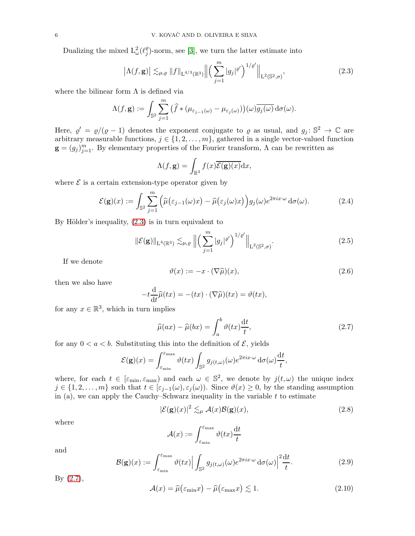Dualizing the mixed  $L^2_{\omega}(\ell_j^{\varrho})$  $_{j}^{\varrho}$ )-norm, see [\[3\]](#page-9-17), we turn the latter estimate into

<span id="page-5-0"></span>
$$
\left|\Lambda(f,\mathbf{g})\right| \lesssim_{\mu,\varrho} \|f\|_{\mathcal{L}^{4/3}(\mathbb{R}^3)} \left\| \left(\sum_{j=1}^m |g_j|^{\varrho'}\right)^{1/\varrho'} \right\|_{\mathcal{L}^2(\mathbb{S}^2,\sigma)},\tag{2.3}
$$

where the bilinear form  $\Lambda$  is defined via

$$
\Lambda(f,\mathbf{g}):=\int_{\mathbb{S}^2}\sum_{j=1}^m\big(\widehat{f}*(\mu_{\varepsilon_{j-1}(\omega)}-\mu_{\varepsilon_j(\omega)})\big)(\omega)\overline{g_j(\omega)}\,\mathrm{d}\sigma(\omega).
$$

Here,  $\varrho' = \varrho/(\varrho - 1)$  denotes the exponent conjugate to  $\varrho$  as usual, and  $g_j : \mathbb{S}^2 \to \mathbb{C}$  are arbitrary measurable functions,  $j \in \{1, 2, \ldots, m\}$ , gathered in a single vector-valued function  $\mathbf{g} = (g_j)_{j=1}^m$ . By elementary properties of the Fourier transform,  $\Lambda$  can be rewritten as

$$
\Lambda(f, \mathbf{g}) = \int_{\mathbb{R}^3} f(x) \overline{\mathcal{E}(\mathbf{g})(x)} dx,
$$

where  $\mathcal E$  is a certain extension-type operator given by

<span id="page-5-7"></span>
$$
\mathcal{E}(\mathbf{g})(x) := \int_{\mathbb{S}^2} \sum_{j=1}^m \left( \widehat{\mu}(\varepsilon_{j-1}(\omega)x) - \widehat{\mu}(\varepsilon_j(\omega)x) \right) g_j(\omega) e^{2\pi ix \cdot \omega} d\sigma(\omega).
$$
 (2.4)

By Hölder's inequality,  $(2.3)$  is in turn equivalent to

<span id="page-5-4"></span>
$$
\|\mathcal{E}(\mathbf{g})\|_{\mathcal{L}^{4}(\mathbb{R}^{3})} \lesssim_{\mu,\varrho} \left\| \left( \sum_{j=1}^{m} |g_{j}|^{2} \right)^{1/\varrho'} \right\|_{\mathcal{L}^{2}(\mathbb{S}^{2},\sigma)}.
$$
\n(2.5)

If we denote

<span id="page-5-6"></span>
$$
\vartheta(x) := -x \cdot (\nabla \widehat{\mu})(x),\tag{2.6}
$$

then we also have

$$
-t\frac{\mathrm{d}}{\mathrm{d}t}\widehat{\mu}(tx) = -(tx)\cdot(\nabla\widehat{\mu})(tx) = \vartheta(tx),
$$

for any  $x \in \mathbb{R}^3$ , which in turn implies

<span id="page-5-1"></span>
$$
\widehat{\mu}(ax) - \widehat{\mu}(bx) = \int_{a}^{b} \vartheta(tx) \frac{\mathrm{d}t}{t},\tag{2.7}
$$

for any  $0 < a < b$ . Substituting this into the definition of  $\mathcal{E}$ , yields

$$
\mathcal{E}(\mathbf{g})(x) = \int_{\varepsilon_{\min}}^{\varepsilon_{\max}} \vartheta(tx) \int_{\mathbb{S}^2} g_{j(t,\omega)}(\omega) e^{2\pi ix \cdot \omega} d\sigma(\omega) \frac{dt}{t},
$$

where, for each  $t \in [\varepsilon_{\min}, \varepsilon_{\max}]$  and each  $\omega \in \mathbb{S}^2$ , we denote by  $j(t, \omega)$  the unique index  $j \in \{1, 2, \ldots, m\}$  such that  $t \in [\varepsilon_{j-1}(\omega), \varepsilon_j(\omega)]$ . Since  $\vartheta(x) \geq 0$ , by the standing assumption in (a), we can apply the Cauchy–Schwarz inequality in the variable  $t$  to estimate

<span id="page-5-2"></span>
$$
|\mathcal{E}(\mathbf{g})(x)|^2 \lesssim_{\mu} \mathcal{A}(x)\mathcal{B}(\mathbf{g})(x),\tag{2.8}
$$

where

$$
\mathcal{A}(x):=\int_{\varepsilon_{\min}}^{\varepsilon_{\max}} \vartheta(tx)\frac{{\rm d} t}{t}
$$

and

<span id="page-5-5"></span>
$$
\mathcal{B}(\mathbf{g})(x) := \int_{\varepsilon_{\min}}^{\varepsilon_{\max}} \vartheta(tx) \Big| \int_{\mathbb{S}^2} g_{j(t,\omega)}(\omega) e^{2\pi ix \cdot \omega} \, \mathrm{d}\sigma(\omega) \Big|^2 \frac{\mathrm{d}t}{t}.
$$
 (2.9)

By [\(2.7\)](#page-5-1),

<span id="page-5-3"></span>
$$
\mathcal{A}(x) = \widehat{\mu}(\varepsilon_{\min} x) - \widehat{\mu}(\varepsilon_{\max} x) \lesssim 1. \tag{2.10}
$$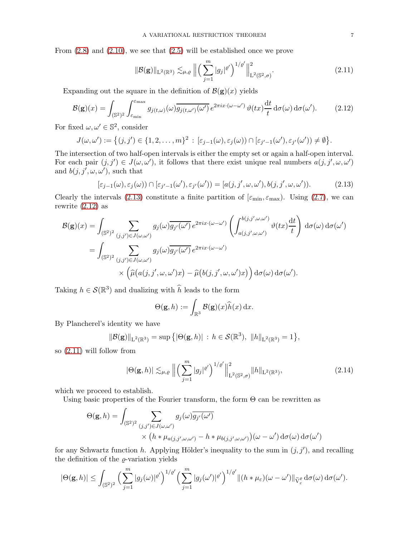From [\(2.8\)](#page-5-2) and [\(2.10\)](#page-5-3), we see that [\(2.5\)](#page-5-4) will be established once we prove

<span id="page-6-2"></span>
$$
\|\mathcal{B}(\mathbf{g})\|_{\mathcal{L}^{2}(\mathbb{R}^{3})} \lesssim_{\mu,\varrho} \left\| \left( \sum_{j=1}^{m} |g_{j}|^{2} \right)^{1/\varrho'} \right\|_{\mathcal{L}^{2}(\mathbb{S}^{2},\sigma)}^{2}.
$$
 (2.11)

Expanding out the square in the definition of  $\mathcal{B}(\mathbf{g})(x)$  yields

<span id="page-6-1"></span>
$$
\mathcal{B}(\mathbf{g})(x) = \int_{(\mathbb{S}^2)^2} \int_{\varepsilon_{\min}}^{\varepsilon_{\max}} g_{j(t,\omega)}(\omega) \overline{g_{j(t,\omega')}(\omega')} e^{2\pi ix \cdot (\omega - \omega')} \vartheta(tx) \frac{\mathrm{d}t}{t} \,\mathrm{d}\sigma(\omega) \,\mathrm{d}\sigma(\omega'). \tag{2.12}
$$

For fixed  $\omega, \omega' \in \mathbb{S}^2$ , consider

$$
J(\omega,\omega') := \left\{ (j,j') \in \{1,2,\ldots,m\}^2 \, : \, [\varepsilon_{j-1}(\omega),\varepsilon_j(\omega)) \cap [\varepsilon_{j'-1}(\omega'),\varepsilon_{j'}(\omega')) \neq \emptyset \right\}.
$$

The intersection of two half-open intervals is either the empty set or again a half-open interval. For each pair  $(j, j') \in J(\omega, \omega')$ , it follows that there exist unique real numbers  $a(j, j', \omega, \omega')$ and  $b(j, j', \omega, \omega')$ , such that

<span id="page-6-0"></span>
$$
[\varepsilon_{j-1}(\omega), \varepsilon_j(\omega)) \cap [\varepsilon_{j'-1}(\omega'), \varepsilon_{j'}(\omega')) = [a(j, j', \omega, \omega'), b(j, j', \omega, \omega')).
$$
\n(2.13)

Clearly the intervals [\(2.13\)](#page-6-0) constitute a finite partition of  $[\varepsilon_{\min}, \varepsilon_{\max}]$ . Using [\(2.7\)](#page-5-1), we can rewrite  $(2.12)$  as

$$
\mathcal{B}(\mathbf{g})(x) = \int_{(\mathbb{S}^2)^2} \sum_{(j,j') \in J(\omega,\omega')} g_j(\omega) \overline{g_{j'}(\omega')} e^{2\pi i x \cdot (\omega - \omega')} \left( \int_{a(j,j',\omega,\omega')}^{b(j,j',\omega,\omega')} \vartheta(tx) \frac{dt}{t} \right) d\sigma(\omega) d\sigma(\omega')
$$
  
= 
$$
\int_{(\mathbb{S}^2)^2} \sum_{(j,j') \in J(\omega,\omega')} g_j(\omega) \overline{g_{j'}(\omega')} e^{2\pi i x \cdot (\omega - \omega')}
$$

$$
\times \left( \widehat{\mu}(a(j,j',\omega,\omega')x) - \widehat{\mu}(b(j,j',\omega,\omega')x) \right) d\sigma(\omega) d\sigma(\omega').
$$

Taking  $h \in \mathcal{S}(\mathbb{R}^3)$  and dualizing with  $\widehat{h}$  leads to the form

$$
\Theta(\mathbf{g},h) := \int_{\mathbb{R}^3} \mathcal{B}(\mathbf{g})(x) \widehat{h}(x) \, \mathrm{d}x.
$$

By Plancherel's identity we have

$$
\|\mathcal{B}(\mathbf{g})\|_{\mathbf{L}^2(\mathbb{R}^3)} = \sup \{|\Theta(\mathbf{g}, h)| : h \in \mathcal{S}(\mathbb{R}^3), \|h\|_{\mathbf{L}^2(\mathbb{R}^3)} = 1\},\
$$

so [\(2.11\)](#page-6-2) will follow from

<span id="page-6-3"></span>
$$
|\Theta(\mathbf{g},h)| \lesssim_{\mu,\varrho} \left\| \left( \sum_{j=1}^m |g_j|^{\varrho'} \right)^{1/\varrho'} \right\|_{\mathcal{L}^2(\mathbb{S}^2,\sigma)}^2 \|h\|_{\mathcal{L}^2(\mathbb{R}^3)},\tag{2.14}
$$

which we proceed to establish.

Using basic properties of the Fourier transform, the form  $\Theta$  can be rewritten as

$$
\Theta(\mathbf{g},h) = \int_{(\mathbb{S}^2)^2} \sum_{(j,j') \in J(\omega,\omega')} g_j(\omega) \overline{g_{j'}(\omega')}
$$

$$
\times (h * \mu_{a(j,j',\omega,\omega')}-h * \mu_{b(j,j',\omega,\omega')})(\omega - \omega') d\sigma(\omega) d\sigma(\omega')
$$

for any Schwartz function h. Applying Hölder's inequality to the sum in  $(j, j')$ , and recalling the definition of the  $\varrho$ -variation yields

$$
|\Theta(\mathbf{g},h)| \leq \int_{(\mathbb{S}^2)^2} \Big(\sum_{j=1}^m |g_j(\omega)|^{\varrho'}\Big)^{1/\varrho'} \Big(\sum_{j=1}^m |g_j(\omega')|^{\varrho'}\Big)^{1/\varrho'} \|(h*\mu_{\varepsilon})(\omega-\omega')\|_{\widetilde{\mathbf{V}}^{\varrho}_{\varepsilon}} d\sigma(\omega) d\sigma(\omega').
$$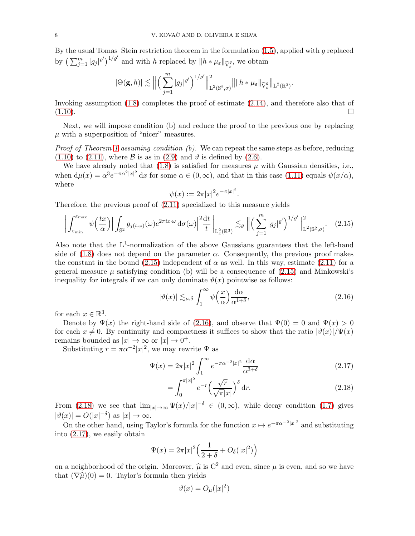By the usual Tomas–Stein restriction theorem in the formulation  $(1.5)$ , applied with g replaced by  $\left(\sum_{j=1}^m |g_j|^{e'}\right)^{1/e'}$  and with h replaced by  $||h * \mu_{\varepsilon}||_{\widetilde{V}_{\varepsilon}^e}$ , we obtain

$$
|\Theta({\bf g},h)|\lesssim \Big\|\Big(\sum_{j=1}^m|g_j|^{\varrho'}\Big)^{1/\varrho'}\Big\|^2_{{\bf L}^2(\mathbb{S}^2,\sigma)}\big\||h*\mu_\varepsilon\|_{{\widetilde V}^\varrho_\varepsilon}\Big\|_{{\bf L}^2(\mathbb{R}^3)}.
$$

Invoking assumption [\(1.8\)](#page-3-2) completes the proof of estimate [\(2.14\)](#page-6-3), and therefore also that of  $(1.10).$  $(1.10).$ 

Next, we will impose condition (b) and reduce the proof to the previous one by replacing  $\mu$  with a superposition of "nicer" measures.

*Proof of Theorem [1](#page-3-0) assuming condition (b).* We can repeat the same steps as before, reducing  $(1.10)$  to  $(2.11)$ , where  $\beta$  is as in  $(2.9)$  and  $\vartheta$  is defined by  $(2.6)$ .

We have already noted that  $(1.8)$  is satisfied for measures  $\mu$  with Gaussian densities, i.e., when  $d\mu(x) = \alpha^3 e^{-\pi \alpha^2 |x|^2} dx$  for some  $\alpha \in (0, \infty)$ , and that in this case [\(1.11\)](#page-3-3) equals  $\psi(x/\alpha)$ , where

$$
\psi(x) := 2\pi |x|^2 e^{-\pi |x|^2}.
$$

Therefore, the previous proof of [\(2.11\)](#page-6-2) specialized to this measure yields

<span id="page-7-0"></span>
$$
\left\| \int_{\varepsilon_{\min}}^{\varepsilon_{\max}} \psi\left(\frac{tx}{\alpha}\right) \Big| \int_{\mathbb{S}^2} g_{j(t,\omega)}(\omega) e^{2\pi ix \cdot \omega} \, \mathrm{d}\sigma(\omega) \Big|^2 \frac{\mathrm{d}t}{t} \right\|_{\mathcal{L}^2(\mathbb{R}^3)} \lesssim_{\varrho} \left\| \left( \sum_{j=1}^m |g_j|^{2'} \right)^{1/2'} \right\|_{\mathcal{L}^2(\mathbb{S}^2, \sigma)}^2. \tag{2.15}
$$

Also note that the  $L^1$ -normalization of the above Gaussians guarantees that the left-hand side of  $(1.8)$  does not depend on the parameter  $\alpha$ . Consequently, the previous proof makes the constant in the bound [\(2.15\)](#page-7-0) independent of  $\alpha$  as well. In this way, estimate [\(2.11\)](#page-6-2) for a general measure  $\mu$  satisfying condition (b) will be a consequence of [\(2.15\)](#page-7-0) and Minkowski's inequality for integrals if we can only dominate  $\vartheta(x)$  pointwise as follows:

<span id="page-7-1"></span>
$$
|\vartheta(x)| \lesssim_{\mu,\delta} \int_1^\infty \psi\left(\frac{x}{\alpha}\right) \frac{d\alpha}{\alpha^{1+\delta}},\tag{2.16}
$$

for each  $x \in \mathbb{R}^3$ .

Denote by  $\Psi(x)$  the right-hand side of [\(2.16\)](#page-7-1), and observe that  $\Psi(0) = 0$  and  $\Psi(x) > 0$ for each  $x \neq 0$ . By continuity and compactness it suffices to show that the ratio  $|\vartheta(x)|/\Psi(x)$ remains bounded as  $|x| \to \infty$  or  $|x| \to 0^+$ .

Substituting  $r = \pi \alpha^{-2} |x|^2$ , we may rewrite  $\Psi$  as

$$
\Psi(x) = 2\pi |x|^2 \int_1^\infty e^{-\pi \alpha^{-2} |x|^2} \frac{d\alpha}{\alpha^{3+\delta}} \tag{2.17}
$$

<span id="page-7-3"></span><span id="page-7-2"></span>
$$
=\int_0^{\pi|x|^2} e^{-r} \left(\frac{\sqrt{r}}{\sqrt{\pi}|x|}\right)^{\delta} dr.
$$
\n(2.18)

From [\(2.18\)](#page-7-2) we see that  $\lim_{|x|\to\infty} \Psi(x)/|x|^{-\delta} \in (0,\infty)$ , while decay condition [\(1.7\)](#page-2-0) gives  $|\vartheta(x)| = O(|x|^{-\delta})$  as  $|x| \to \infty$ .

On the other hand, using Taylor's formula for the function  $x \mapsto e^{-\pi \alpha^{-2} |x|^2}$  and substituting into [\(2.17\)](#page-7-3), we easily obtain

$$
\Psi(x) = 2\pi |x|^2 \left(\frac{1}{2+\delta} + O_\delta(|x|^2)\right)
$$

on a neighborhood of the origin. Moreover,  $\hat{\mu}$  is C<sup>2</sup> and even, since  $\mu$  is even, and so we have that  $(\nabla \hat{\mu})(0) = 0$ . Taylor's formula then yields

$$
\vartheta(x) = O_{\mu}(|x|^2)
$$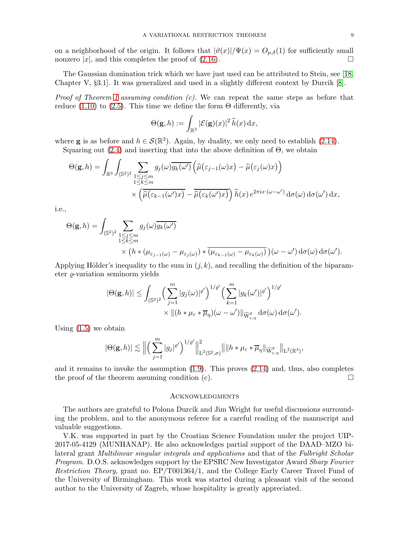on a neighborhood of the origin. It follows that  $|\vartheta(x)|/\Psi(x) = O_{\mu,\delta}(1)$  for sufficiently small nonzero |x|, and this completes the proof of (2.16). nonzero  $|x|$ , and this completes the proof of  $(2.16)$ .

The Gaussian domination trick which we have just used can be attributed to Stein, see [\[18,](#page-9-18) Chapter V, §3.1]. It was generalized and used in a slightly different context by Durcik [\[8\]](#page-9-19).

*Proof of Theorem [1](#page-3-0) assuming condition (c).* We can repeat the same steps as before that reduce [\(1.10\)](#page-3-1) to [\(2.5\)](#page-5-4). This time we define the form  $\Theta$  differently, via

$$
\Theta(\mathbf{g},h) := \int_{\mathbb{R}^3} |\mathcal{E}(\mathbf{g})(x)|^2 \,\widehat{h}(x) \,\mathrm{d}x,
$$

where **g** is as before and  $h \in \mathcal{S}(\mathbb{R}^3)$ . Again, by duality, we only need to establish [\(2.14\)](#page-6-3). Squaring out  $(2.4)$  and inserting that into the above definition of  $\Theta$ , we obtain

$$
\Theta(\mathbf{g},h) = \int_{\mathbb{R}^3} \int_{(\mathbb{S}^2)^2} \sum_{\substack{1 \le j \le m \\ 1 \le k \le m}} g_j(\omega) \overline{g_k(\omega')} \left( \widehat{\mu}(\varepsilon_{j-1}(\omega)x) - \widehat{\mu}(\varepsilon_j(\omega)x) \right) \times \left( \widehat{\mu}(\varepsilon_{k-1}(\omega')x) - \widehat{\mu}(\varepsilon_k(\omega')x) \right) \widehat{h}(x) e^{2\pi ix \cdot (\omega - \omega')} d\sigma(\omega) d\sigma(\omega') dx,
$$

i.e.,

$$
\Theta(\mathbf{g},h) = \int_{(\mathbb{S}^2)^2} \sum_{\substack{1 \le j \le m \\ 1 \le k \le m}} g_j(\omega) \overline{g_k(\omega')}
$$

$$
\times \left( h * (\mu_{\varepsilon_{j-1}(\omega)} - \mu_{\varepsilon_j(\omega)}) * \overline{(\mu_{\varepsilon_{k-1}(\omega)} - \mu_{\varepsilon_k(\omega)})} \right) (\omega - \omega') d\sigma(\omega) d\sigma(\omega').
$$

Applying Hölder's inequality to the sum in  $(j, k)$ , and recalling the definition of the biparameter  $\rho$ -variation seminorm yields

$$
\begin{aligned} |\Theta(\mathbf{g},h)|&\leq \int_{(\mathbb{S}^2)^2}\Bigl(\sum_{j=1}^m|g_j(\omega)|^{\varrho'}\Bigr)^{1/\varrho'}\Bigl(\sum_{k=1}^m|g_k(\omega')|^{\varrho'}\Bigr)^{1/\varrho'}\\&\times \|(h*\mu_\varepsilon*\overline{\mu}_\eta)(\omega-\omega')\|_{\widetilde{\mathcal{W}}^{\varrho}_{\varepsilon,\eta}}\,\mathrm{d}\sigma(\omega)\,\mathrm{d}\sigma(\omega').\end{aligned}
$$

Using [\(1.5\)](#page-1-0) we obtain

$$
|\Theta(\mathbf{g},h)| \lesssim \Big\| \Big( \sum_{j=1}^m |g_j|^{ \varrho'}\Big)^{1/\varrho'} \Big\|_{\mathrm{L}^2(\mathbb{S}^2,\sigma)}^2 \Big\| \|h*\mu_\varepsilon*\overline{\mu}_\eta\|_{\widetilde{\mathrm{W}}_{\varepsilon,\eta}^\varrho} \Big\|_{\mathrm{L}^2(\mathbb{R}^3)},
$$

and it remains to invoke the assumption [\(1.9\)](#page-3-4). This proves [\(2.14\)](#page-6-3) and, thus, also completes the proof of the theorem assuming condition (c).  $\Box$ 

### **ACKNOWLEDGMENTS**

The authors are grateful to Polona Durcik and Jim Wright for useful discussions surrounding the problem, and to the anonymous referee for a careful reading of the manuscript and valuable suggestions.

V.K. was supported in part by the Croatian Science Foundation under the project UIP-2017-05-4129 (MUNHANAP). He also acknowledges partial support of the DAAD–MZO bilateral grant Multilinear singular integrals and applications and that of the Fulbright Scholar Program. D.O.S. acknowledges support by the EPSRC New Investigator Award Sharp Fourier Restriction Theory, grant no. EP/T001364/1, and the College Early Career Travel Fund of the University of Birmingham. This work was started during a pleasant visit of the second author to the University of Zagreb, whose hospitality is greatly appreciated.